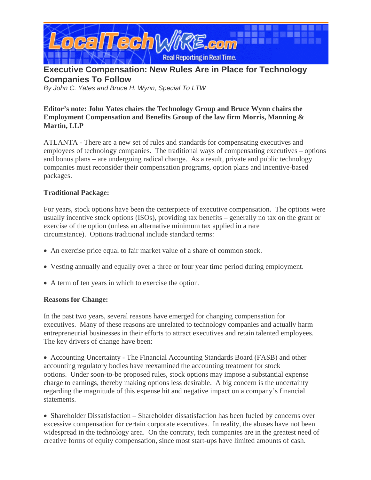

# **Executive Compensation: New Rules Are in Place for Technology Companies To Follow**

*By John C. Yates and Bruce H. Wynn, Special To LTW* 

### **Editor's note: John Yates chairs the Technology Group and Bruce Wynn chairs the Employment Compensation and Benefits Group of the law firm Morris, Manning & Martin, LLP**

ATLANTA - There are a new set of rules and standards for compensating executives and employees of technology companies. The traditional ways of compensating executives – options and bonus plans – are undergoing radical change. As a result, private and public technology companies must reconsider their compensation programs, option plans and incentive-based packages.

#### **Traditional Package:**

For years, stock options have been the centerpiece of executive compensation. The options were usually incentive stock options (ISOs), providing tax benefits – generally no tax on the grant or exercise of the option (unless an alternative minimum tax applied in a rare circumstance). Options traditional include standard terms:

- An exercise price equal to fair market value of a share of common stock.
- Vesting annually and equally over a three or four year time period during employment.
- A term of ten years in which to exercise the option.

#### **Reasons for Change:**

In the past two years, several reasons have emerged for changing compensation for executives. Many of these reasons are unrelated to technology companies and actually harm entrepreneurial businesses in their efforts to attract executives and retain talented employees. The key drivers of change have been:

• Accounting Uncertainty - The Financial Accounting Standards Board (FASB) and other accounting regulatory bodies have reexamined the accounting treatment for stock options. Under soon-to-be proposed rules, stock options may impose a substantial expense charge to earnings, thereby making options less desirable. A big concern is the uncertainty regarding the magnitude of this expense hit and negative impact on a company's financial statements.

• Shareholder Dissatisfaction – Shareholder dissatisfaction has been fueled by concerns over excessive compensation for certain corporate executives. In reality, the abuses have not been widespread in the technology area. On the contrary, tech companies are in the greatest need of creative forms of equity compensation, since most start-ups have limited amounts of cash.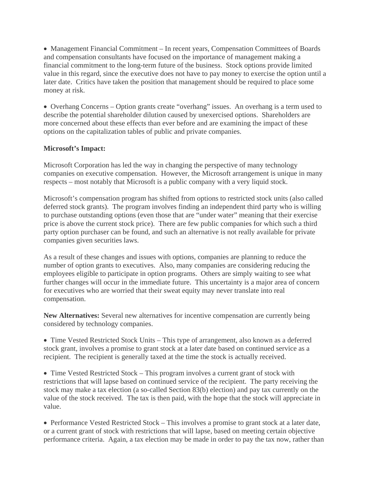• Management Financial Commitment – In recent years, Compensation Committees of Boards and compensation consultants have focused on the importance of management making a financial commitment to the long-term future of the business. Stock options provide limited value in this regard, since the executive does not have to pay money to exercise the option until a later date. Critics have taken the position that management should be required to place some money at risk.

• Overhang Concerns – Option grants create "overhang" issues. An overhang is a term used to describe the potential shareholder dilution caused by unexercised options. Shareholders are more concerned about these effects than ever before and are examining the impact of these options on the capitalization tables of public and private companies.

## **Microsoft's Impact:**

Microsoft Corporation has led the way in changing the perspective of many technology companies on executive compensation. However, the Microsoft arrangement is unique in many respects – most notably that Microsoft is a public company with a very liquid stock.

Microsoft's compensation program has shifted from options to restricted stock units (also called deferred stock grants). The program involves finding an independent third party who is willing to purchase outstanding options (even those that are "under water" meaning that their exercise price is above the current stock price). There are few public companies for which such a third party option purchaser can be found, and such an alternative is not really available for private companies given securities laws.

As a result of these changes and issues with options, companies are planning to reduce the number of option grants to executives. Also, many companies are considering reducing the employees eligible to participate in option programs. Others are simply waiting to see what further changes will occur in the immediate future. This uncertainty is a major area of concern for executives who are worried that their sweat equity may never translate into real compensation.

**New Alternatives:** Several new alternatives for incentive compensation are currently being considered by technology companies.

• Time Vested Restricted Stock Units – This type of arrangement, also known as a deferred stock grant, involves a promise to grant stock at a later date based on continued service as a recipient. The recipient is generally taxed at the time the stock is actually received.

• Time Vested Restricted Stock – This program involves a current grant of stock with restrictions that will lapse based on continued service of the recipient. The party receiving the stock may make a tax election (a so-called Section 83(b) election) and pay tax currently on the value of the stock received. The tax is then paid, with the hope that the stock will appreciate in value.

• Performance Vested Restricted Stock – This involves a promise to grant stock at a later date, or a current grant of stock with restrictions that will lapse, based on meeting certain objective performance criteria. Again, a tax election may be made in order to pay the tax now, rather than